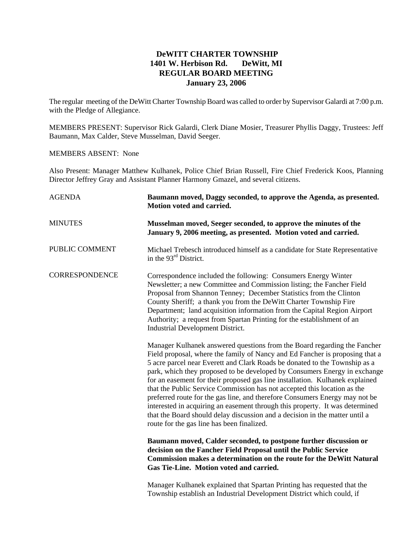## **DeWITT CHARTER TOWNSHIP 1401 W. Herbison Rd. DeWitt, MI REGULAR BOARD MEETING January 23, 2006**

The regular meeting of the DeWitt Charter Township Board was called to order by Supervisor Galardi at 7:00 p.m. with the Pledge of Allegiance.

MEMBERS PRESENT: Supervisor Rick Galardi, Clerk Diane Mosier, Treasurer Phyllis Daggy, Trustees: Jeff Baumann, Max Calder, Steve Musselman, David Seeger.

## MEMBERS ABSENT: None

Also Present: Manager Matthew Kulhanek, Police Chief Brian Russell, Fire Chief Frederick Koos, Planning Director Jeffrey Gray and Assistant Planner Harmony Gmazel, and several citizens.

| <b>AGENDA</b>         | Baumann moved, Daggy seconded, to approve the Agenda, as presented.<br>Motion voted and carried.                                                                                                                                                                                                                                                                                                                                                                                                                                                                                                                                                                                                                                                                            |  |
|-----------------------|-----------------------------------------------------------------------------------------------------------------------------------------------------------------------------------------------------------------------------------------------------------------------------------------------------------------------------------------------------------------------------------------------------------------------------------------------------------------------------------------------------------------------------------------------------------------------------------------------------------------------------------------------------------------------------------------------------------------------------------------------------------------------------|--|
| <b>MINUTES</b>        | Musselman moved, Seeger seconded, to approve the minutes of the<br>January 9, 2006 meeting, as presented. Motion voted and carried.                                                                                                                                                                                                                                                                                                                                                                                                                                                                                                                                                                                                                                         |  |
| PUBLIC COMMENT        | Michael Trebesch introduced himself as a candidate for State Representative<br>in the 93 <sup>rd</sup> District.                                                                                                                                                                                                                                                                                                                                                                                                                                                                                                                                                                                                                                                            |  |
| <b>CORRESPONDENCE</b> | Correspondence included the following: Consumers Energy Winter<br>Newsletter; a new Committee and Commission listing; the Fancher Field<br>Proposal from Shannon Tenney; December Statistics from the Clinton<br>County Sheriff; a thank you from the DeWitt Charter Township Fire<br>Department; land acquisition information from the Capital Region Airport<br>Authority; a request from Spartan Printing for the establishment of an<br><b>Industrial Development District.</b>                                                                                                                                                                                                                                                                                         |  |
|                       | Manager Kulhanek answered questions from the Board regarding the Fancher<br>Field proposal, where the family of Nancy and Ed Fancher is proposing that a<br>5 acre parcel near Everett and Clark Roads be donated to the Township as a<br>park, which they proposed to be developed by Consumers Energy in exchange<br>for an easement for their proposed gas line installation. Kulhanek explained<br>that the Public Service Commission has not accepted this location as the<br>preferred route for the gas line, and therefore Consumers Energy may not be<br>interested in acquiring an easement through this property. It was determined<br>that the Board should delay discussion and a decision in the matter until a<br>route for the gas line has been finalized. |  |
|                       | Baumann moved, Calder seconded, to postpone further discussion or<br>decision on the Fancher Field Proposal until the Public Service<br><b>Commission makes a determination on the route for the DeWitt Natural</b><br>Gas Tie-Line. Motion voted and carried.                                                                                                                                                                                                                                                                                                                                                                                                                                                                                                              |  |
|                       | Manager Kulhanek explained that Spartan Printing has requested that the<br>Township establish an Industrial Development District which could, if                                                                                                                                                                                                                                                                                                                                                                                                                                                                                                                                                                                                                            |  |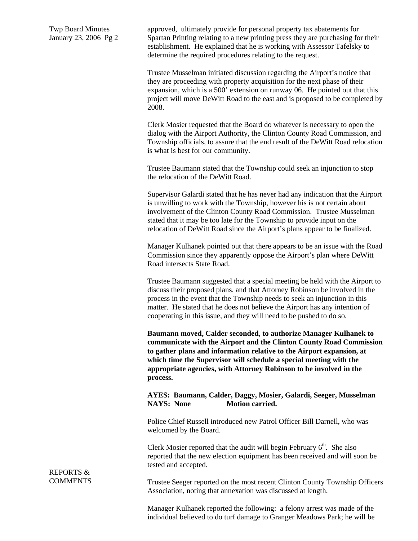Twp Board Minutes January 23, 2006 Pg 2 approved, ultimately provide for personal property tax abatements for Spartan Printing relating to a new printing press they are purchasing for their establishment. He explained that he is working with Assessor Tafelsky to determine the required procedures relating to the request.

Trustee Musselman initiated discussion regarding the Airport's notice that they are proceeding with property acquisition for the next phase of their expansion, which is a 500' extension on runway 06. He pointed out that this project will move DeWitt Road to the east and is proposed to be completed by 2008.

Clerk Mosier requested that the Board do whatever is necessary to open the dialog with the Airport Authority, the Clinton County Road Commission, and Township officials, to assure that the end result of the DeWitt Road relocation is what is best for our community.

Trustee Baumann stated that the Township could seek an injunction to stop the relocation of the DeWitt Road.

Supervisor Galardi stated that he has never had any indication that the Airport is unwilling to work with the Township, however his is not certain about involvement of the Clinton County Road Commission. Trustee Musselman stated that it may be too late for the Township to provide input on the relocation of DeWitt Road since the Airport's plans appear to be finalized.

Manager Kulhanek pointed out that there appears to be an issue with the Road Commission since they apparently oppose the Airport's plan where DeWitt Road intersects State Road.

Trustee Baumann suggested that a special meeting be held with the Airport to discuss their proposed plans, and that Attorney Robinson be involved in the process in the event that the Township needs to seek an injunction in this matter. He stated that he does not believe the Airport has any intention of cooperating in this issue, and they will need to be pushed to do so.

**Baumann moved, Calder seconded, to authorize Manager Kulhanek to communicate with the Airport and the Clinton County Road Commission to gather plans and information relative to the Airport expansion, at which time the Supervisor will schedule a special meeting with the appropriate agencies, with Attorney Robinson to be involved in the process.** 

**AYES: Baumann, Calder, Daggy, Mosier, Galardi, Seeger, Musselman NAYS: None Motion carried.** 

Police Chief Russell introduced new Patrol Officer Bill Darnell, who was welcomed by the Board.

Clerk Mosier reported that the audit will begin February  $6<sup>th</sup>$ . She also reported that the new election equipment has been received and will soon be tested and accepted.

Trustee Seeger reported on the most recent Clinton County Township Officers Association, noting that annexation was discussed at length.

Manager Kulhanek reported the following: a felony arrest was made of the individual believed to do turf damage to Granger Meadows Park; he will be

REPORTS & **COMMENTS**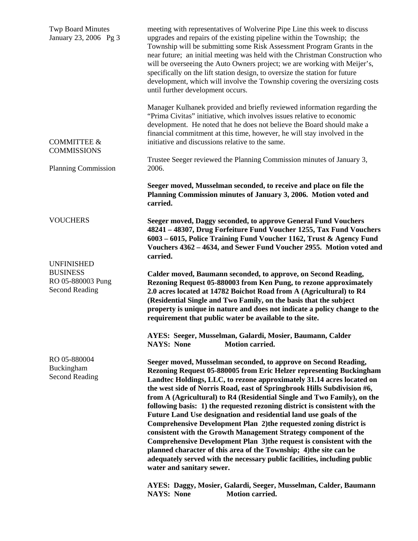| <b>Twp Board Minutes</b><br>January 23, 2006 Pg 3                                  | meeting with representatives of Wolverine Pipe Line this week to discuss<br>upgrades and repairs of the existing pipeline within the Township; the<br>Township will be submitting some Risk Assessment Program Grants in the<br>near future; an initial meeting was held with the Christman Construction who<br>will be overseeing the Auto Owners project; we are working with Meijer's,<br>specifically on the lift station design, to oversize the station for future<br>development, which will involve the Township covering the oversizing costs<br>until further development occurs.                                                                                                                                                                                                                                                                                                                              |  |
|------------------------------------------------------------------------------------|--------------------------------------------------------------------------------------------------------------------------------------------------------------------------------------------------------------------------------------------------------------------------------------------------------------------------------------------------------------------------------------------------------------------------------------------------------------------------------------------------------------------------------------------------------------------------------------------------------------------------------------------------------------------------------------------------------------------------------------------------------------------------------------------------------------------------------------------------------------------------------------------------------------------------|--|
| <b>COMMITTEE &amp;</b><br><b>COMMISSIONS</b>                                       | Manager Kulhanek provided and briefly reviewed information regarding the<br>"Prima Civitas" initiative, which involves issues relative to economic<br>development. He noted that he does not believe the Board should make a<br>financial commitment at this time, however, he will stay involved in the<br>initiative and discussions relative to the same.                                                                                                                                                                                                                                                                                                                                                                                                                                                                                                                                                             |  |
| <b>Planning Commission</b>                                                         | Trustee Seeger reviewed the Planning Commission minutes of January 3,<br>2006.                                                                                                                                                                                                                                                                                                                                                                                                                                                                                                                                                                                                                                                                                                                                                                                                                                           |  |
|                                                                                    | Seeger moved, Musselman seconded, to receive and place on file the<br>Planning Commission minutes of January 3, 2006. Motion voted and<br>carried.                                                                                                                                                                                                                                                                                                                                                                                                                                                                                                                                                                                                                                                                                                                                                                       |  |
| <b>VOUCHERS</b>                                                                    | Seeger moved, Daggy seconded, to approve General Fund Vouchers<br>48241 - 48307, Drug Forfeiture Fund Voucher 1255, Tax Fund Vouchers<br>6003 - 6015, Police Training Fund Voucher 1162, Trust & Agency Fund<br>Vouchers 4362 - 4634, and Sewer Fund Voucher 2955. Motion voted and<br>carried.                                                                                                                                                                                                                                                                                                                                                                                                                                                                                                                                                                                                                          |  |
| <b>UNFINISHED</b><br><b>BUSINESS</b><br>RO 05-880003 Pung<br><b>Second Reading</b> | Calder moved, Baumann seconded, to approve, on Second Reading,<br>Rezoning Request 05-880003 from Ken Pung, to rezone approximately<br>2.0 acres located at 14782 Boichot Road from A (Agricultural) to R4<br>(Residential Single and Two Family, on the basis that the subject<br>property is unique in nature and does not indicate a policy change to the<br>requirement that public water be available to the site.                                                                                                                                                                                                                                                                                                                                                                                                                                                                                                  |  |
|                                                                                    | AYES: Seeger, Musselman, Galardi, Mosier, Baumann, Calder<br><b>NAYS: None</b><br><b>Motion carried.</b>                                                                                                                                                                                                                                                                                                                                                                                                                                                                                                                                                                                                                                                                                                                                                                                                                 |  |
| RO 05-880004<br>Buckingham<br><b>Second Reading</b>                                | Seeger moved, Musselman seconded, to approve on Second Reading,<br>Rezoning Request 05-880005 from Eric Helzer representing Buckingham<br>Landtec Holdings, LLC, to rezone approximately 31.14 acres located on<br>the west side of Norris Road, east of Springbrook Hills Subdivision #6,<br>from A (Agricultural) to R4 (Residential Single and Two Family), on the<br>following basis: 1) the requested rezoning district is consistent with the<br>Future Land Use designation and residential land use goals of the<br>Comprehensive Development Plan 2) the requested zoning district is<br>consistent with the Growth Management Strategy component of the<br>Comprehensive Development Plan 3) the request is consistent with the<br>planned character of this area of the Township; 4) the site can be<br>adequately served with the necessary public facilities, including public<br>water and sanitary sewer. |  |
|                                                                                    | AYES: Daggy, Mosier, Galardi, Seeger, Musselman, Calder, Baumann<br><b>NAYS: None</b><br><b>Motion carried.</b>                                                                                                                                                                                                                                                                                                                                                                                                                                                                                                                                                                                                                                                                                                                                                                                                          |  |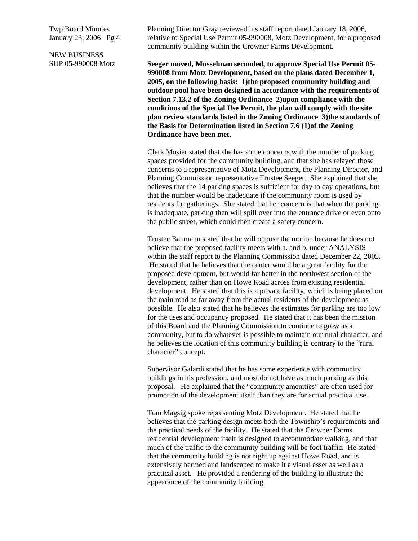Twp Board Minutes January 23, 2006 Pg 4

NEW BUSINESS SUP 05-990008 Motz Planning Director Gray reviewed his staff report dated January 18, 2006, relative to Special Use Permit 05-990008, Motz Development, for a proposed community building within the Crowner Farms Development.

**Seeger moved, Musselman seconded, to approve Special Use Permit 05- 990008 from Motz Development, based on the plans dated December 1, 2005, on the following basis: 1)the proposed community building and outdoor pool have been designed in accordance with the requirements of Section 7.13.2 of the Zoning Ordinance 2)upon compliance with the conditions of the Special Use Permit, the plan will comply with the site plan review standards listed in the Zoning Ordinance 3)the standards of the Basis for Determination listed in Section 7.6 (1)of the Zoning Ordinance have been met.** 

Clerk Mosier stated that she has some concerns with the number of parking spaces provided for the community building, and that she has relayed those concerns to a representative of Motz Development, the Planning Director, and Planning Commission representative Trustee Seeger. She explained that she believes that the 14 parking spaces is sufficient for day to day operations, but that the number would be inadequate if the community room is used by residents for gatherings. She stated that her concern is that when the parking is inadequate, parking then will spill over into the entrance drive or even onto the public street, which could then create a safety concern.

Trustee Baumann stated that he will oppose the motion because he does not believe that the proposed facility meets with a. and b. under ANALYSIS within the staff report to the Planning Commission dated December 22, 2005. He stated that he believes that the center would be a great facility for the proposed development, but would far better in the northwest section of the development, rather than on Howe Road across from existing residential development. He stated that this is a private facility, which is being placed on the main road as far away from the actual residents of the development as possible. He also stated that he believes the estimates for parking are too low for the uses and occupancy proposed. He stated that it has been the mission of this Board and the Planning Commission to continue to grow as a community, but to do whatever is possible to maintain our rural character, and he believes the location of this community building is contrary to the "rural character" concept.

Supervisor Galardi stated that he has some experience with community buildings in his profession, and most do not have as much parking as this proposal. He explained that the "community amenities" are often used for promotion of the development itself than they are for actual practical use.

Tom Magsig spoke representing Motz Development. He stated that he believes that the parking design meets both the Township's requirements and the practical needs of the facility. He stated that the Crowner Farms residential development itself is designed to accommodate walking, and that much of the traffic to the community building will be foot traffic. He stated that the community building is not right up against Howe Road, and is extensively bermed and landscaped to make it a visual asset as well as a practical asset. He provided a rendering of the building to illustrate the appearance of the community building.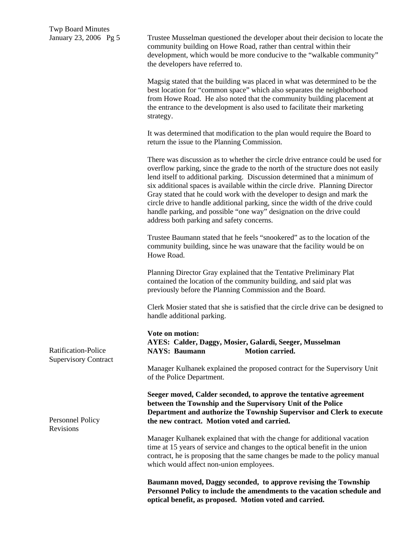Trustee Musselman questioned the developer about their decision to locate the community building on Howe Road, rather than central within their development, which would be more conducive to the "walkable community" the developers have referred to.

Magsig stated that the building was placed in what was determined to be the best location for "common space" which also separates the neighborhood from Howe Road. He also noted that the community building placement at the entrance to the development is also used to facilitate their marketing strategy.

It was determined that modification to the plan would require the Board to return the issue to the Planning Commission.

There was discussion as to whether the circle drive entrance could be used for overflow parking, since the grade to the north of the structure does not easily lend itself to additional parking. Discussion determined that a minimum of six additional spaces is available within the circle drive. Planning Director Gray stated that he could work with the developer to design and mark the circle drive to handle additional parking, since the width of the drive could handle parking, and possible "one way" designation on the drive could address both parking and safety concerns.

Trustee Baumann stated that he feels "snookered" as to the location of the community building, since he was unaware that the facility would be on Howe Road.

Planning Director Gray explained that the Tentative Preliminary Plat contained the location of the community building, and said plat was previously before the Planning Commission and the Board.

Clerk Mosier stated that she is satisfied that the circle drive can be designed to handle additional parking.

**Vote on motion: AYES: Calder, Daggy, Mosier, Galardi, Seeger, Musselman NAYS: Baumann Motion carried.** 

Manager Kulhanek explained the proposed contract for the Supervisory Unit of the Police Department.

**Seeger moved, Calder seconded, to approve the tentative agreement between the Township and the Supervisory Unit of the Police Department and authorize the Township Supervisor and Clerk to execute the new contract. Motion voted and carried.** 

Manager Kulhanek explained that with the change for additional vacation time at 15 years of service and changes to the optical benefit in the union contract, he is proposing that the same changes be made to the policy manual which would affect non-union employees.

**Baumann moved, Daggy seconded, to approve revising the Township Personnel Policy to include the amendments to the vacation schedule and optical benefit, as proposed. Motion voted and carried.** 

Ratification-Police Supervisory Contract

Personnel Policy Revisions